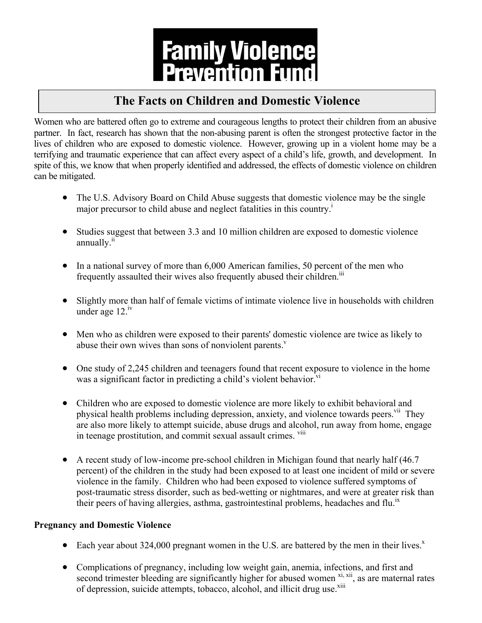

## **The Facts on Children and Domestic Violence**

Women who are battered often go to extreme and courageous lengths to protect their children from an abusive partner. In fact, research has shown that the non-abusing parent is often the strongest protective factor in the lives of children who are exposed to domestic violence. However, growing up in a violent home may be a terrifying and traumatic experience that can affect every aspect of a child's life, growth, and development. In spite of this, we know that when properly identified and addressed, the effects of domestic violence on children can be mitigated.

- The U.S. Advisory Board on Child Abuse suggests that domestic violence may be the single major precursor to child abuse and neglect fatalities in this country.<sup>1</sup>
- Studies suggest that between 3.3 and 10 million children are exposed to domestic violence annually.<sup>ii</sup>
- In a national survey of more than 6,000 American families, 50 percent of the men who frequently assaulted their wives also frequently abused their children.<sup>iii</sup>
- Slightly more than half of female victims of intimate violence live in households with children under age 12.<sup>iv</sup>
- Men who as children were exposed to their parents' domestic violence are twice as likely to abuse their own wives than sons of nonviolent parents.<sup>v</sup>
- One study of 2,245 children and teenagers found that recent exposure to violence in the home was a significant factor in predicting a child's violent behavior.<sup>vi</sup>
- Children who are exposed to domestic violence are more likely to exhibit behavioral and physical health problems including depression, anxiety, and violence towards peers.<sup>vii</sup> They are also more likely to attempt suicide, abuse drugs and alcohol, run away from home, engage in teenage prostitution, and commit sexual assault crimes. <sup>viii</sup>
- A recent study of low-income pre-school children in Michigan found that nearly half (46.7) percent) of the children in the study had been exposed to at least one incident of mild or severe violence in the family. Children who had been exposed to violence suffered symptoms of post-traumatic stress disorder, such as bed-wetting or nightmares, and were at greater risk than their peers of having allergies, asthma, gastrointestinal problems, headaches and flu.<sup>ix</sup>

## **Pregnancy and Domestic Violence**

- Each year about 324,000 pregnant women in the U.S. are battered by the men in their lives.<sup> $x$ </sup>
- Complications of pregnancy, including low weight gain, anemia, infections, and first and second trimester bleeding are significantly higher for abused women  $x_i$ ,  $xii$ , as are maternal rates of depression, suicide attempts, tobacco, alcohol, and illicit drug use.<sup>xiii</sup>